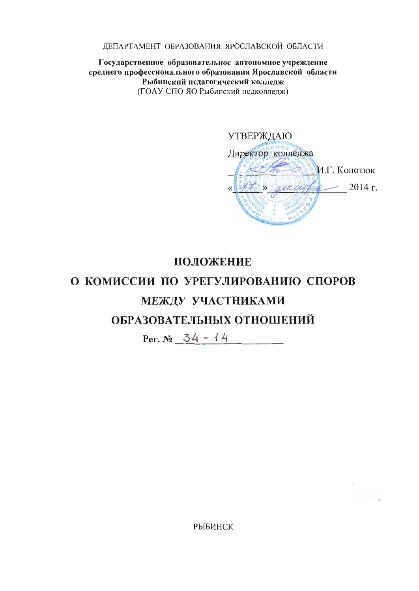ДЕПАРТАМЕНТ ОБРАЗОВАНИЯ ЯРОСЛАВСКОЙ ОБЛАСТИ

Государственное образовательное автономное учреждение среднего профессионального образования Ярославской области Рыбинский пелагогический колледж (ГОАУ СПО ЯО Рыбинский педколледж)

**УТВЕРЖДАЮ** Директор колледжа И.Г. Копотюк  $-2014$  r. percachere

## ПОЛОЖЕНИЕ

# О КОМИССИИ ПО УРЕГУЛИРОВАНИЮ СПОРОВ МЕЖДУ УЧАСТНИКАМИ ОБРАЗОВАТЕЛЬНЫХ ОТНОШЕНИЙ

Per.  $N_2$  34 - 14

**РЫБИНСК**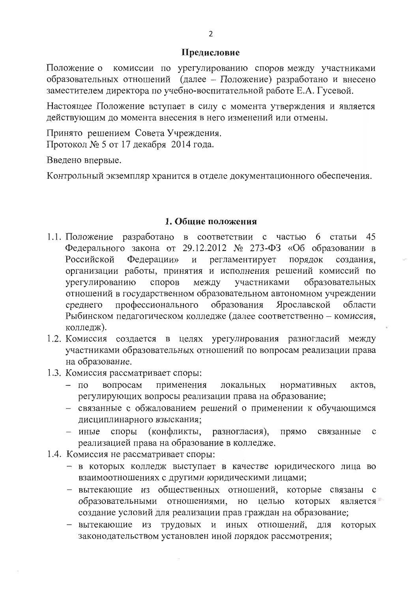#### Предисловие

Положение о комиссии по урегулированию споров между участниками образовательных отношений (далее - Положение) разработано и внесено заместителем директора по учебно-воспитательной работе Е.А. Гусевой.

Настоящее Положение вступает в силу с момента утверждения и является действующим до момента внесения в него изменений или отмены.

Принято решением Совета Учреждения. Протокол № 5 от 17 декабря 2014 года.

Введено впервые.

Контрольный экземпляр хранится в отделе документационного обеспечения.

#### 1. Общие положения

- 1.1. Положение разработано в соответствии с частью 6 статьи 45 Федерального закона от 29.12.2012  $\mathbb{N}$  273-ФЗ «Об образовании в Российской Федерации» и регламентирует порядок создания, организации работы, принятия и исполнения решений комиссий по урегулированию споров между участниками образовательных отношений в государственном образовательном автономном учреждении профессионального образования Ярославской среднего области Рыбинском педагогическом колледже (далее соответственно - комиссия, колледж).
- 1.2. Комиссия создается в целях урегулирования разногласий между участниками образовательных отношений по вопросам реализации права на образование.
- 1.3. Комиссия рассматривает споры:
	- $\pi$ вопросам применения локальных нормативных актов. регулирующих вопросы реализации права на образование;
	- связанные с обжалованием решений о применении к обучающимся дисциплинарного взыскания;
	- $MHbIe$ споры (конфликты, разногласия), прямо связанные  $\mathbf{C}$ реализацией права на образование в колледже.
- 1.4. Комиссия не рассматривает споры:
	- в которых колледж выступает в качестве юридического лица во взаимоотношениях с другими юридическими лицами;
	- вытекающие из общественных отношений, которые связаны с образовательными отношениями, но целью которых является создание условий для реализации прав граждан на образование;
	- вытекающие из трудовых и иных отношений, для которых законодательством установлен иной порядок рассмотрения;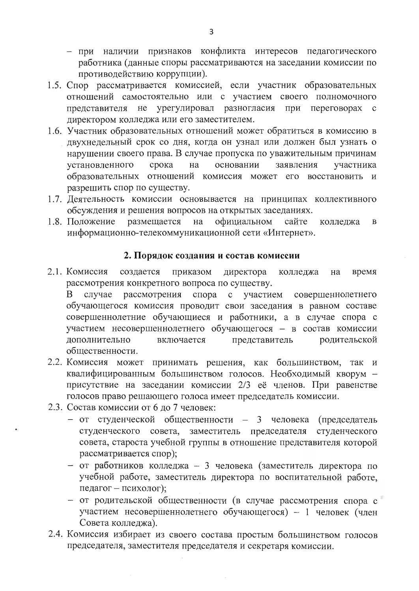- при наличии признаков конфликта интересов педагогического работника (данные споры рассматриваются на заседании комиссии по противодействию коррупции).
- 1.5. Спор рассматривается комиссией, если участник образовательных отношений самостоятельно или с участием своего полномочного представителя не урегулировал разногласия при переговорах с директором колледжа или его заместителем.
- 1.6. Участник образовательных отношений может обратиться в комиссию в двухнедельный срок со дня, когда он узнал или должен был узнать о нарушении своего права. В случае пропуска по уважительным причинам установленного срока на основании заявления участника образовательных отношений комиссия может его восстановить и разрешить спор по существу.
- 1.7. Деятельность комиссии основывается на принципах коллективного обсуждения и решения вопросов на открытых заседаниях.
- официальном 1.8. Положение размещается на сайте колледжа  $\mathbf{B}$ информационно-телекоммуникационной сети «Интернет».

### 2. Порядок создания и состав комиссии

- 2.1. Комиссия создается приказом директора колледжа на время рассмотрения конкретного вопроса по существу. рассмотрения спора с участием совершеннолетнего B – случае обучающегося комиссия проводит свои заседания в равном составе совершеннолетние обучающиеся и работники, а в случае спора с участием несовершеннолетнего обучающегося - в состав комиссии
	- дополнительно включается представитель родительской общественности.
- 2.2. Комиссия может принимать решения, как большинством, так и квалифицированным большинством голосов. Необходимый кворум присутствие на заседании комиссии 2/3 её членов. При равенстве голосов право решающего голоса имеет председатель комиссии.
- 2.3. Состав комиссии от 6 до 7 человек:
	- от студенческой общественности 3 человека (председатель студенческого совета, заместитель председателя студенческого совета, староста учебной группы в отношение представителя которой рассматривается спор);
	- от работников колледжа 3 человека (заместитель директора по учебной работе, заместитель директора по воспитательной работе, педагог - психолог);
	- от родительской общественности (в случае рассмотрения спора с участием несовершеннолетнего обучающегося) - 1 человек (член Совета колледжа).
- 2.4. Комиссия избирает из своего состава простым большинством голосов председателя, заместителя председателя и секретаря комиссии.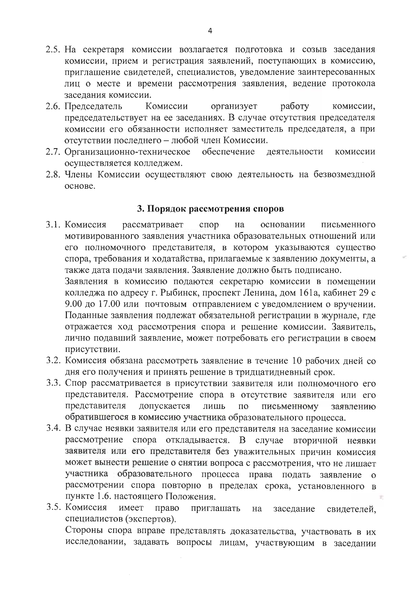- 2.5. На секретаря комиссии возлагается подготовка и созыв заседания комиссии, прием и регистрация заявлений, поступающих в комиссию, приглашение свидетелей, специалистов, уведомление заинтересованных лиц о месте и времени рассмотрения заявления, ведение протокола заседания комиссии.
- Комиссии организует работу 2.6. Председатель комиссии, председательствует на ее заседаниях. В случае отсутствия председателя комиссии его обязанности исполняет заместитель председателя, а при отсутствии последнего - любой член Комиссии.
- 2.7. Организационно-техническое обеспечение деятельности комиссии осуществляется колледжем.
- 2.8. Члены Комиссии осуществляют свою деятельность на безвозмездной основе.

#### 3. Порядок рассмотрения споров

3.1. Комиссия рассматривает спор на основании письменного мотивированного заявления участника образовательных отношений или его полномочного представителя, в котором указываются существо спора, требования и ходатайства, прилагаемые к заявлению документы, а также дата подачи заявления. Заявление должно быть подписано.

Заявления в комиссию подаются секретарю комиссии в помещении колледжа по адресу г. Рыбинск, проспект Ленина, дом 161а, кабинет 29 с 9.00 до 17.00 или почтовым отправлением с уведомлением о вручении. Поданные заявления подлежат обязательной регистрации в журнале, где отражается ход рассмотрения спора и решение комиссии. Заявитель, лично подавший заявление, может потребовать его регистрации в своем присутствии.

- 3.2. Комиссия обязана рассмотреть заявление в течение 10 рабочих дней со дня его получения и принять решение в тридцатидневный срок.
- 3.3. Спор рассматривается в присутствии заявителя или полномочного его представителя. Рассмотрение спора в отсутствие заявителя или его представителя допускается лишь  $\overline{a}$ письменному заявлению обратившегося в комиссию участника образовательного процесса.
- 3.4. В случае неявки заявителя или его представителя на заседание комиссии рассмотрение спора откладывается. В случае вторичной неявки заявителя или его представителя без уважительных причин комиссия может вынести решение о снятии вопроса с рассмотрения, что не лишает участника образовательного процесса права подать заявление о рассмотрении спора повторно в пределах срока, установленного в пункте 1.6. настоящего Положения.
- 3.5. Комиссия имеет право приглашать на заседание свидетелей, специалистов (экспертов). Стороны спора вправе представлять доказательства, участвовать в их исследовании, задавать вопросы лицам, участвующим в заседании